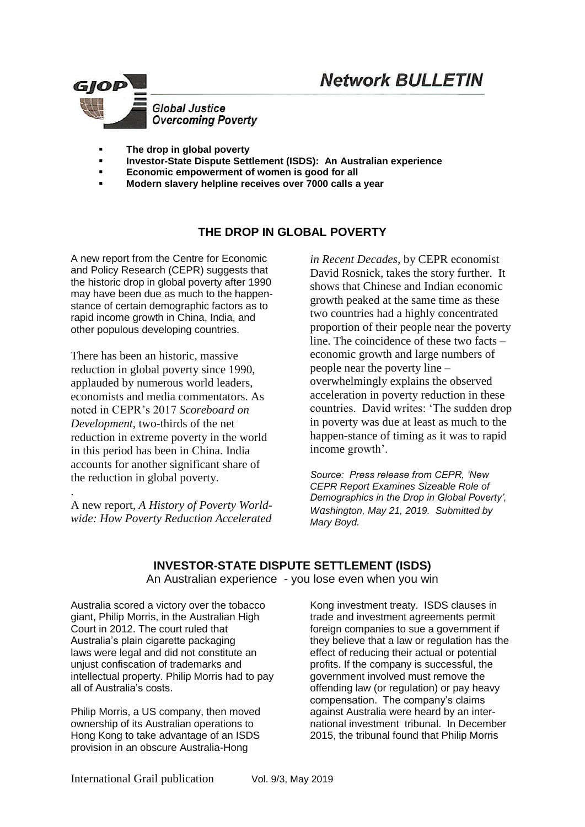# **Network BULLETIN**



- **The drop in global poverty**
- **Investor-State Dispute Settlement (ISDS): An Australian experience**
- **Economic empowerment of women is good for all**
- **Modern slavery helpline receives over 7000 calls a year**

## **THE DROP IN GLOBAL POVERTY**

A new report from the Centre for Economic and Policy Research (CEPR) suggests that the historic drop in global poverty after 1990 may have been due as much to the happenstance of certain demographic factors as to rapid income growth in China, India, and other populous developing countries.

There has been an historic, massive reduction in global poverty since 1990, applauded by numerous world leaders, economists and media commentators. As noted in CEPR's 2017 *Scoreboard on Development*, two-thirds of the net reduction in extreme poverty in the world in this period has been in China. India accounts for another significant share of the reduction in global poverty.

A new report*, A History of Poverty Worldwide: How Poverty Reduction Accelerated* 

.

*in Recent Decades,* by CEPR economist David Rosnick, takes the story further. It shows that Chinese and Indian economic growth peaked at the same time as these two countries had a highly concentrated proportion of their people near the poverty line. The coincidence of these two facts – economic growth and large numbers of people near the poverty line – overwhelmingly explains the observed acceleration in poverty reduction in these countries. David writes: 'The sudden drop in poverty was due at least as much to the happen-stance of timing as it was to rapid income growth'.

*Source: Press release from CEPR, 'New CEPR Report Examines Sizeable Role of Demographics in the Drop in Global Poverty', Washington, May 21, 2019. Submitted by Mary Boyd.* 

**INVESTOR-STATE DISPUTE SETTLEMENT (ISDS)**  An Australian experience - you lose even when you win

Australia scored a victory over the tobacco giant, Philip Morris, in the Australian High Court in 2012. The court ruled that Australia's plain cigarette packaging laws [were legal](http://www.hcourt.gov.au/cases/case-s389/2011) and did not constitute an unjust confiscation of trademarks and intellectual property. Philip Morris had to pay all of Australia's costs.

Philip Morris, a US company, then moved ownership of its Australian operations to Hong Kong to take advantage of an ISDS provision in an obscure Australia-Hong

Kong investment treaty. ISDS clauses in trade and investment agreements permit foreign companies to sue a government if they believe that a law or regulation has the effect of reducing their actual or potential profits. If the company is successful, the government involved must remove the offending law (or regulation) or pay heavy compensation. The company's claims against Australia were heard by an international investment tribunal. In December 2015, the tribunal found that Philip Morris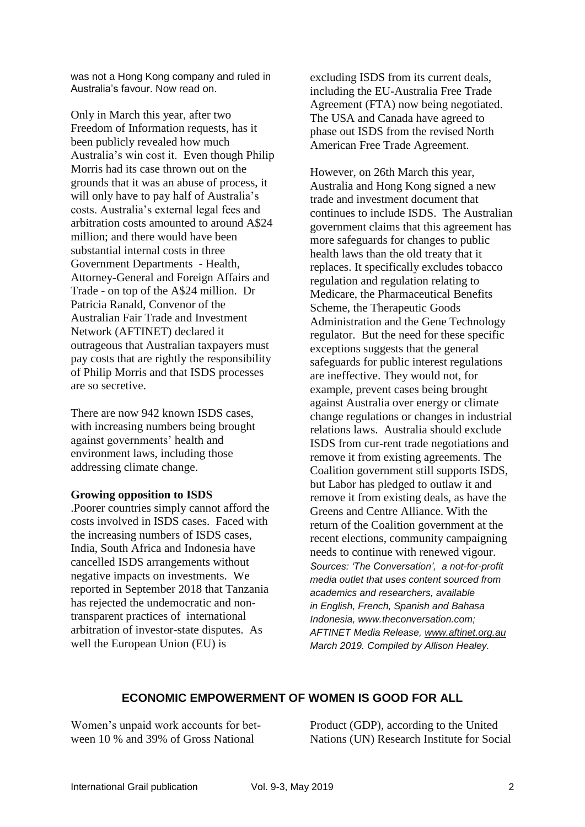was not a Hong Kong company and ruled in Australia's favour. Now read on.

Only in March this year, after two Freedom of Information requests, has it been publicly revealed how much Australia's win cost it. Even though Philip Morris had its case thrown out on the grounds that it was an abuse of process, it will [only have to pay half](http://aftinet.org.au/cms/sites/default/files/190322%20Unredacted%2BExcerpt%2Bof%2BCosts%2BAward.pdf#overlay-context=users/editor) of Australia's costs. Australia's external legal fees and arbitration costs amounted to around A\$24 million; and there would have been substantial internal costs in three Government Departments - Health, Attorney-General and Foreign Affairs and Trade - on top of the A\$24 million. Dr Patricia Ranald, Convenor of the Australian Fair Trade and Investment Network (AFTINET) declared it outrageous that Australian taxpayers must pay costs that are rightly the responsibility of Philip Morris and that ISDS processes are so secretive.

There are now [942](https://investmentpolicyhub.unctad.org/ISDS) known ISDS cases, with increasing numbers being brought against governments' [health](http://aftinet.org.au/cms/sites/default/files/Key%20ISDS%20health%20cases_0.pdf#overlay-context=Against_ISDS) and [environment](http://aftinet.org.au/cms/ISDS) laws, including those addressing [climate change.](https://theconversation.com/the-fossil-fuel-era-is-coming-to-an-end-but-the-lawsuits-are-just-beginning-107512)

#### **Growing opposition to ISDS**

.Poorer countries simply cannot afford the costs involved in ISDS cases. Faced with the increasing numbers of ISDS cases, India, South Africa and Indonesia have [cancelled](https://www.citizen.org/sites/default/files/pcgtw_fdi-inflows-from-bit-termination_0.pdf) ISDS arrangements without negative impacts on investments. We reported in September 2018 that Tanzania has rejected the undemocratic and nontransparent practices of international arbitration of investor-state disputes. As well the European Union (EU) is

[excluding ISDS from its current deals,](https://www.politico.eu/article/juncker-proposes-fast-tracking-eu-trade-deals/) including the [EU-Australia Free](https://www.pm.gov.au/media/press-conference-minister-trade-tourism-and-investment-and-eu-trade-commissioner) Trade Agreement (FTA) now being negotiated. The USA and Canada have agreed to phase out ISDS from the revised [North](https://www.iisd.org/library/usmca-investors)  American [Free Trade Agreement.](https://www.iisd.org/library/usmca-investors)

However, on 26th March this year, Australia and Hong Kong signed a new trade and [investment document](https://dfat.gov.au/trade/agreements/not-yet-in-force/a-hkfta/Pages/the-investment-agreement-text.aspx) that continues to include ISDS. The Australian government claims that this agreement has more safeguards for changes to public health laws than the old treaty that it replaces. It specifically excludes tobacco regulation and regulation relating to Medicare, the Pharmaceutical Benefits Scheme, the Therapeutic Goods Administration and the Gene Technology regulator. But the need for these specific exceptions suggests that the general safeguards for public interest regulations are ineffective. They would not, for example, prevent cases being brought against Australia over energy or climate change regulations or changes in industrial relations laws. Australia should exclude ISDS from cur-rent trade negotiations and remove it from existing agreements. The Coalition government still supports ISDS, but Labor has pledged to outlaw it and remove it from existing deals, as have the Greens and Centre Alliance. With the return of the Coalition government at the recent elections, community campaigning needs to continue with renewed vigour. *Sources: 'The Conversation', a not-for-profit media outlet that uses content sourced from academics and researchers, available in English, French, Spanish and Bahasa Indonesia, www.theconversation.com; AFTINET Media Release, [www.aftinet.org.au](http://www.aftinet.org.au/)  March 2019. Compiled by Allison Healey.*

### **ECONOMIC EMPOWERMENT OF WOMEN IS GOOD FOR ALL**

Women's unpaid work accounts for between 10 % and 39% of Gross National

Product (GDP), according to the United Nations (UN) Research Institute for Social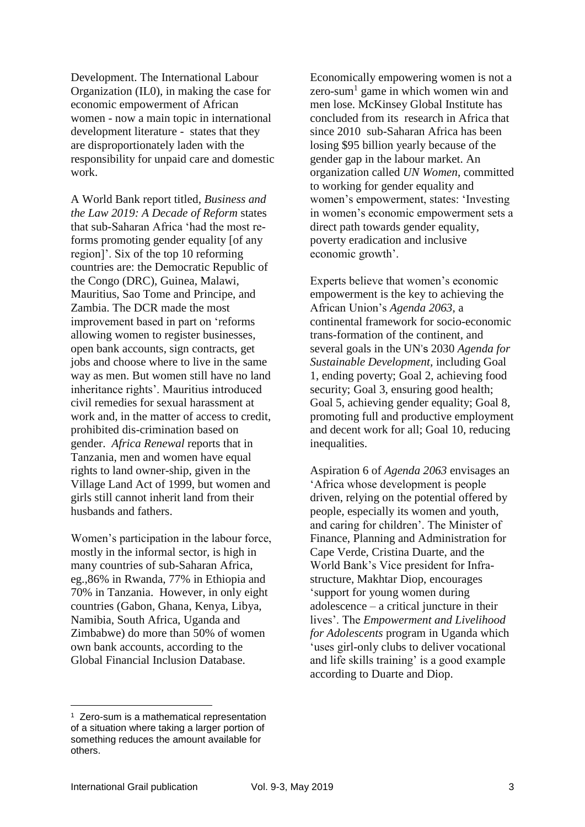Development. The International Labour Organization (IL0), in making the case for economic empowerment of African women - now a main topic in international development literature - states that they are disproportionately laden with the responsibility for unpaid care and domestic work.

A World Bank report titled*, Business and the Law 2019: A Decade of Reform* states that sub-Saharan Africa 'had the most reforms promoting gender equality [of any region]'. Six of the top 10 reforming countries are: the Democratic Republic of the Congo (DRC), Guinea, Malawi, Mauritius, Sao Tome and Principe, and Zambia. The DCR made the most improvement based in part on 'reforms allowing women to register businesses, open bank accounts, sign contracts, get jobs and choose where to live in the same way as men. But women still have no land inheritance rights'. Mauritius introduced civil remedies for sexual harassment at work and, in the matter of access to credit, prohibited dis-crimination based on gender. *Africa Renewal* reports that in Tanzania, men and women have equal rights to land owner-ship, given in the Village Land Act of 1999, but women and girls still cannot inherit land from their husbands and fathers.

Women's participation in the labour force, mostly in the informal sector, is high in many countries of sub-Saharan Africa, eg.,86% in Rwanda, 77% in Ethiopia and 70% in Tanzania. However, in only eight countries (Gabon, Ghana, Kenya, Libya, Namibia, South Africa, Uganda and Zimbabwe) do more than 50% of women own bank accounts, according to the Global Financial Inclusion Database.

Economically empowering women is not a zero-sum<sup>1</sup> game in which women win and men lose. McKinsey Global Institute has concluded from its research in Africa that since 2010 sub-Saharan Africa has been losing \$95 billion yearly because of the gender gap in the labour market. An organization called *UN Women*, committed to working for gender equality and women's empowerment, states: 'Investing in women's economic empowerment sets a direct path towards gender equality, poverty eradication and inclusive economic growth'.

Experts believe that women's economic empowerment is the key to achieving the African Union's *Agenda 2063*, a continental framework for socio-economic trans-formation of the continent, and several goals in the UN's 2030 *Agenda for Sustainable Development,* including Goal 1, ending poverty; Goal 2, achieving food security; Goal 3, ensuring good health; Goal 5, achieving gender equality; Goal 8, promoting full and productive employment and decent work for all; Goal 10, reducing inequalities.

Aspiration 6 of *Agenda 2063* envisages an 'Africa whose development is people driven, relying on the potential offered by people, especially its women and youth, and caring for children'. The Minister of Finance, Planning and Administration for Cape Verde, Cristina Duarte, and the World Bank's Vice president for Infrastructure, Makhtar Diop, encourages 'support for young women during adolescence – a critical juncture in their lives'. The *Empowerment and Livelihood for Adolescents* program in Uganda which 'uses girl-only clubs to deliver vocational and life skills training' is a good example according to Duarte and Diop.

1

<sup>&</sup>lt;sup>1</sup> Zero-sum is a mathematical representation of a situation where taking a larger portion of something reduces the amount available for others.